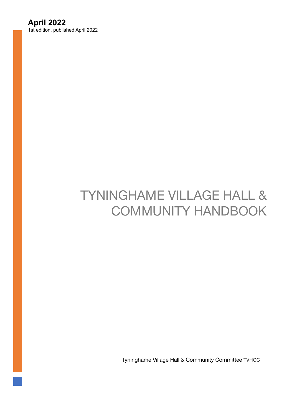# **April 2022**

1st edition, published April 2022

# TYNINGHAME VILLAGE HALL & COMMUNITY HANDBOOK

Tyninghame Village Hall & Community Committee TVHCC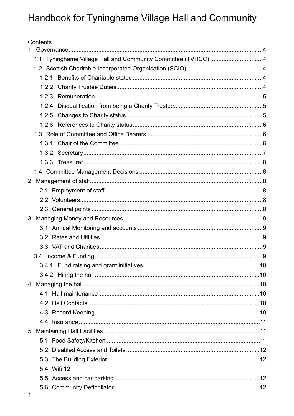# Handbook for Tyninghame Village Hall and Community

| 1.1. Tyninghame Village Hall and Community Committee (TVHCC) 4 |
|----------------------------------------------------------------|
|                                                                |
|                                                                |
|                                                                |
|                                                                |
|                                                                |
|                                                                |
|                                                                |
|                                                                |
|                                                                |
|                                                                |
|                                                                |
|                                                                |
|                                                                |
|                                                                |
|                                                                |
|                                                                |
|                                                                |
|                                                                |
|                                                                |
|                                                                |
|                                                                |
|                                                                |
|                                                                |
|                                                                |
|                                                                |
|                                                                |
|                                                                |
|                                                                |
|                                                                |
|                                                                |
|                                                                |
|                                                                |
|                                                                |
|                                                                |
|                                                                |
|                                                                |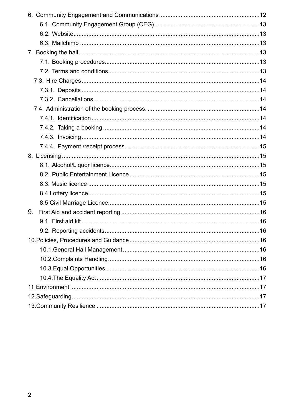| 9. |     |
|----|-----|
|    |     |
|    | .16 |
|    |     |
|    |     |
|    |     |
|    |     |
|    |     |
|    |     |
|    |     |
|    |     |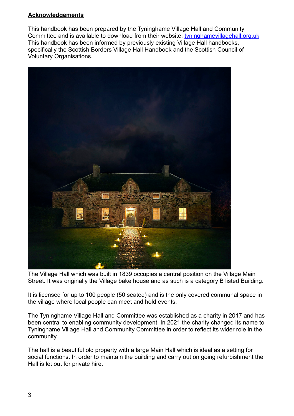#### **Acknowledgements**

This handbook has been prepared by the Tyninghame Village Hall and Community Committee and is available to download from their website: [tyninghamevillagehall.org.uk](http://tyninghamevillagehall.org.uk) This handbook has been informed by previously existing Village Hall handbooks, specifically the Scottish Borders Village Hall Handbook and the Scottish Council of Voluntary Organisations.



The Village Hall which was built in 1839 occupies a central position on the Village Main Street. It was originally the Village bake house and as such is a category B listed Building.

It is licensed for up to 100 people (50 seated) and is the only covered communal space in the village where local people can meet and hold events.

The Tyninghame Village Hall and Committee was established as a charity in 2017 and has been central to enabling community development. In 2021 the charity changed its name to Tyninghame Village Hall and Community Committee in order to reflect its wider role in the community.

The hall is a beautiful old property with a large Main Hall which is ideal as a setting for social functions. In order to maintain the building and carry out on going refurbishment the Hall is let out for private hire.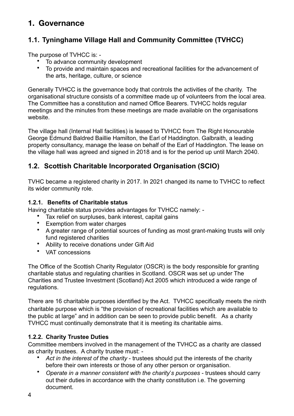# <span id="page-4-0"></span>**1. Governance**

## <span id="page-4-1"></span>**1.1. Tyninghame Village Hall and Community Committee (TVHCC)**

The purpose of TVHCC is: -

- To advance community development<br>• To provide and maintain spaces and r
- To provide and maintain spaces and recreational facilities for the advancement of the arts, heritage, culture, or science

Generally TVHCC is the governance body that controls the activities of the charity. The organisational structure consists of a committee made up of volunteers from the local area. The Committee has a constitution and named Office Bearers. TVHCC holds regular meetings and the minutes from these meetings are made available on the organisations website.

The village hall (Internal Hall facilities) is leased to TVHCC from The Right Honourable George Edmund Baldred Baillie Hamilton, the Earl of Haddington. Galbraith, a leading property consultancy, manage the lease on behalf of the Earl of Haddington. The lease on the village hall was agreed and signed in 2018 and is for the period up until March 2040.

### <span id="page-4-2"></span>**1.2. Scottish Charitable Incorporated Organisation (SCIO)**

TVHC became a registered charity in 2017. In 2021 changed its name to TVHCC to reflect its wider community role.

#### **1.2.1. Benefits of Charitable status**

Having charitable status provides advantages for TVHCC namely: -

- <span id="page-4-3"></span>Tax relief on surpluses, bank interest, capital gains
- Exemption from water charges
- A greater range of potential sources of funding as most grant-making trusts will only fund registered charities
- Ability to receive donations under Gift Aid
- VAT concessions

The Office of the Scottish Charity Regulator (OSCR) is the body responsible for granting charitable status and regulating charities in Scotland. OSCR was set up under The Charities and Trustee Investment (Scotland) Act 2005 which introduced a wide range of regulations.

There are 16 charitable purposes identified by the Act. TVHCC specifically meets the ninth charitable purpose which is "the provision of recreational facilities which are available to the public at large" and in addition can be seen to provide public benefit. As a charity TVHCC must continually demonstrate that it is meeting its charitable aims.

#### <span id="page-4-4"></span>**1.2.2. Charity Trustee Duties**

Committee members involved in the management of the TVHCC as a charity are classed as charity trustees. A charity trustee must: -

- *Act in the interest of the charity*  trustees should put the interests of the charity before their own interests or those of any other person or organisation.
- *Operate in a manner consistent with the charity's purposes* trustees should carry out their duties in accordance with the charity constitution i.e. The governing document.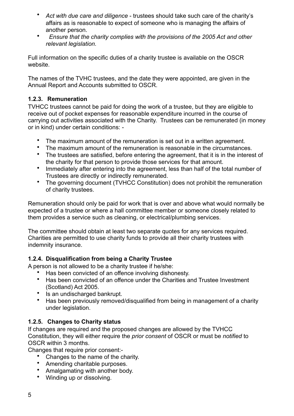- Act with due care and diligence trustees should take such care of the charity's affairs as is reasonable to expect of someone who is managing the affairs of another person.
- • *Ensure that the charity complies with the provisions of the 2005 Act and other relevant legislation.*

Full information on the specific duties of a charity trustee is available on the OSCR website.

The names of the TVHC trustees, and the date they were appointed, are given in the Annual Report and Accounts submitted to OSCR.

#### <span id="page-5-0"></span>**1.2.3. Remuneration**

TVHCC trustees cannot be paid for doing the work of a trustee, but they are eligible to receive out of pocket expenses for reasonable expenditure incurred in the course of carrying out activities associated with the Charity. Trustees can be remunerated (in money or in kind) under certain conditions: -

- The maximum amount of the remuneration is set out in a written agreement.
- The maximum amount of the remuneration is reasonable in the circumstances.
- The trustees are satisfied, before entering the agreement, that it is in the interest of the charity for that person to provide those services for that amount.
- Immediately after entering into the agreement, less than half of the total number of Trustees are directly or indirectly remunerated.
- The governing document (TVHCC Constitution) does not prohibit the remuneration of charity trustees.

Remuneration should only be paid for work that is over and above what would normally be expected of a trustee or where a hall committee member or someone closely related to them provides a service such as cleaning, or electrical/plumbing services.

The committee should obtain at least two separate quotes for any services required. Charities are permitted to use charity funds to provide all their charity trustees with indemnity insurance.

#### **1.2.4. Disqualification from being a Charity Trustee**

A person is not allowed to be a charity trustee if he/she:

- <span id="page-5-1"></span>• Has been convicted of an offence involving dishonesty.<br>• Has been convicted of an offence under the Charities a
- Has been convicted of an offence under the Charities and Trustee Investment (Scotland) Act 2005.
- Is an undischarged bankrupt.
- Has been previously removed/disqualified from being in management of a charity under legislation.

#### <span id="page-5-2"></span>**1.2.5. Changes to Charity status**

If changes are required and the proposed changes are allowed by the TVHCC Constitution, they will either require the *prior consent* of OSCR or must be *notified* to OSCR within 3 months.

Changes that require prior consent:-

- Changes to the name of the charity.
- Amending charitable purposes.
- Amalgamating with another body.
- Winding up or dissolving.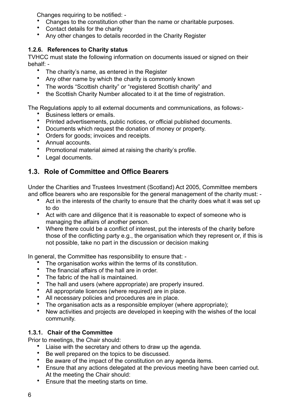Changes requiring to be notified: -

- Changes to the constitution other than the name or charitable purposes.
- Contact details for the charity
- <span id="page-6-0"></span>• Any other changes to details recorded in the Charity Register

#### **1.2.6. References to Charity status**

TVHCC must state the following information on documents issued or signed on their behalf: -

- The charity's name, as entered in the Register
- Any other name by which the charity is commonly known
- The words "Scottish charity" or "registered Scottish charity" and
- the Scottish Charity Number allocated to it at the time of registration.

The Regulations apply to all external documents and communications, as follows:-

- Business letters or emails.
- Printed advertisements, public notices, or official published documents.
- Documents which request the donation of money or property.
- Orders for goods; invoices and receipts.
- Annual accounts.
- Promotional material aimed at raising the charity's profile.
- Legal documents.

### <span id="page-6-1"></span>**1.3. Role of Committee and Office Bearers**

Under the Charities and Trustees Investment (Scotland) Act 2005, Committee members and office bearers who are responsible for the general management of the charity must: -

- Act in the interests of the charity to ensure that the charity does what it was set up to do
- Act with care and diligence that it is reasonable to expect of someone who is managing the affairs of another person.
- Where there could be a conflict of interest, put the interests of the charity before those of the conflicting party e.g., the organisation which they represent or, if this is not possible, take no part in the discussion or decision making

In general, the Committee has responsibility to ensure that: -

- The organisation works within the terms of its constitution.
- The financial affairs of the hall are in order.
- The fabric of the hall is maintained.
- The hall and users (where appropriate) are properly insured.<br>• All appropriate licences (where required) are in place.
- All appropriate licences (where required) are in place.<br>• All necessary policies and procedures are in place.
- All necessary policies and procedures are in place.
- The organisation acts as a responsible employer (where appropriate);
- New activities and projects are developed in keeping with the wishes of the local community.

### **1.3.1. Chair of the Committee**

Prior to meetings, the Chair should:

- <span id="page-6-2"></span>Liaise with the secretary and others to draw up the agenda.
- Be well prepared on the topics to be discussed.
- Be aware of the impact of the constitution on any agenda items.
- Ensure that any actions delegated at the previous meeting have been carried out. At the meeting the Chair should:
- Ensure that the meeting starts on time.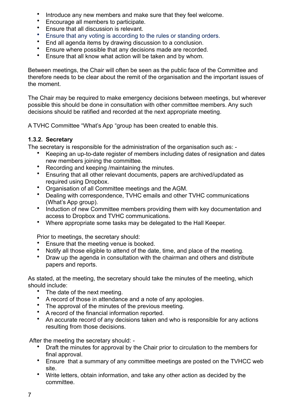- Introduce any new members and make sure that they feel welcome.
- Encourage all members to participate.
- Ensure that all discussion is relevant.
- Ensure that any voting is according to the rules or standing orders.
- End all agenda items by drawing discussion to a conclusion.
- Ensure where possible that any decisions made are recorded.
- Ensure that all know what action will be taken and by whom.

Between meetings, the Chair will often be seen as the public face of the Committee and therefore needs to be clear about the remit of the organisation and the important issues of the moment.

The Chair may be required to make emergency decisions between meetings, but wherever possible this should be done in consultation with other committee members. Any such decisions should be ratified and recorded at the next appropriate meeting.

A TVHC Committee "What's App "group has been created to enable this.

#### **1.3.2. Secretary**

The secretary is responsible for the administration of the organisation such as: -

- <span id="page-7-0"></span>• Keeping an up-to-date register of members including dates of resignation and dates new members joining the committee.
- Recording and keeping /maintaining the minutes.
- Ensuring that all other relevant documents, papers are archived/updated as required using Dropbox.
- Organisation of all Committee meetings and the AGM.
- Dealing with correspondence, TVHC emails and other TVHC communications (What's App group).
- Induction of new Committee members providing them with key documentation and access to Dropbox and TVHC communications.
- Where appropriate some tasks may be delegated to the Hall Keeper.

Prior to meetings, the secretary should:

- Ensure that the meeting venue is booked.
- Notify all those eligible to attend of the date, time, and place of the meeting.
- Draw up the agenda in consultation with the chairman and others and distribute papers and reports.

As stated, at the meeting, the secretary should take the minutes of the meeting, which should include:

- The date of the next meeting.
- A record of those in attendance and a note of any apologies.
- The approval of the minutes of the previous meeting.
- A record of the financial information reported.<br>• An accurate record of any decisions taken and
- An accurate record of any decisions taken and who is responsible for any actions resulting from those decisions.

After the meeting the secretary should: -

- Draft the minutes for approval by the Chair prior to circulation to the members for final approval.
- Ensure that a summary of any committee meetings are posted on the TVHCC web site.
- Write letters, obtain information, and take any other action as decided by the committee.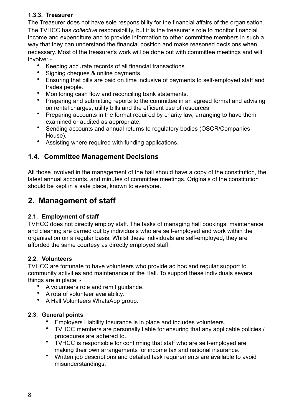#### <span id="page-8-0"></span>**1.3.3. Treasurer**

The Treasurer does not have sole responsibility for the financial affairs of the organisation. The TVHCC has *collective* responsibility, but it is the treasurer's role to monitor financial income and expenditure and to provide information to other committee members in such a way that they can understand the financial position and make reasoned decisions when necessary. Most of the treasurer's work will be done out with committee meetings and will involve: -

- Keeping accurate records of all financial transactions.
- Signing cheques & online payments.
- Ensuring that bills are paid on time inclusive of payments to self-employed staff and trades people.
- Monitoring cash flow and reconciling bank statements.<br>• Prenaring and submitting reports to the committee in a
- Preparing and submitting reports to the committee in an agreed format and advising on rental charges, utility bills and the efficient use of resources.
- Preparing accounts in the format required by charity law, arranging to have them examined or audited as appropriate.
- Sending accounts and annual returns to regulatory bodies (OSCR/Companies House).
- Assisting where required with funding applications.

### <span id="page-8-1"></span>**1.4. Committee Management Decisions**

All those involved in the management of the hall should have a copy of the constitution, the latest annual accounts, and minutes of committee meetings. Originals of the constitution should be kept in a safe place, known to everyone.

# <span id="page-8-2"></span>**2. Management of staff**

#### <span id="page-8-3"></span>**2.1. Employment of staff**

TVHCC does not directly employ staff. The tasks of managing hall bookings, maintenance and cleaning are carried out by individuals who are self-employed and work within the organisation on a regular basis. Whilst these individuals are self-employed, they are afforded the same courtesy as directly employed staff.

#### <span id="page-8-4"></span>**2.2. Volunteers**

TVHCC are fortunate to have volunteers who provide ad hoc and regular support to community activities and maintenance of the Hall. To support these individuals several things are in place: -

- A volunteers role and remit guidance.
- A rota of volunteer availability.
- A Hall Volunteers WhatsApp group.

#### **2.3. General points**

- <span id="page-8-5"></span>• Employers Liability Insurance is in place and includes volunteers.<br>• TVHCC members are personally liable for ensuring that any annit
- TVHCC members are personally liable for ensuring that any applicable policies / procedures are adhered to.
- TVHCC is responsible for confirming that staff who are self-employed are making their own arrangements for income tax and national insurance.
- Written job descriptions and detailed task requirements are available to avoid misunderstandings.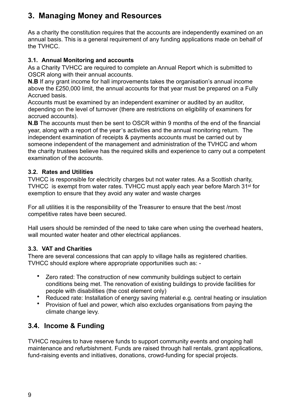# <span id="page-9-0"></span>**3. Managing Money and Resources**

As a charity the constitution requires that the accounts are independently examined on an annual basis. This is a general requirement of any funding applications made on behalf of the TVHCC.

#### <span id="page-9-1"></span>**3.1. Annual Monitoring and accounts**

As a Charity TVHCC are required to complete an Annual Report which is submitted to OSCR along with their annual accounts.

**N.B** If any grant income for hall improvements takes the organisation's annual income above the £250,000 limit, the annual accounts for that year must be prepared on a Fully Accrued basis.

Accounts must be examined by an independent examiner or audited by an auditor, depending on the level of turnover (there are restrictions on eligibility of examiners for accrued accounts).

**N.B** The accounts must then be sent to OSCR within 9 months of the end of the financial year, along with a report of the year's activities and the annual monitoring return. The independent examination of receipts & payments accounts must be carried out by someone independent of the management and administration of the TVHCC and whom the charity trustees believe has the required skills and experience to carry out a competent examination of the accounts.

#### <span id="page-9-2"></span>**3.2. Rates and Utilities**

TVHCC is responsible for electricity charges but not water rates. As a Scottish charity, TVHCC is exempt from water rates. TVHCC must apply each year before March 31st for exemption to ensure that they avoid any water and waste charges

For all utilities it is the responsibility of the Treasurer to ensure that the best /most competitive rates have been secured.

Hall users should be reminded of the need to take care when using the overhead heaters, wall mounted water heater and other electrical appliances.

#### <span id="page-9-3"></span>**3.3. VAT and Charities**

There are several concessions that can apply to village halls as registered charities. TVHCC should explore where appropriate opportunities such as: -

- Zero rated: The construction of new community buildings subject to certain conditions being met. The renovation of existing buildings to provide facilities for people with disabilities (the cost element only)
- Reduced rate: Installation of energy saving material e.g. central heating or insulation
- Provision of fuel and power, which also excludes organisations from paying the climate change levy.

### <span id="page-9-4"></span>**3.4. Income & Funding**

TVHCC requires to have reserve funds to support community events and ongoing hall maintenance and refurbishment. Funds are raised through hall rentals, grant applications, fund-raising events and initiatives, donations, crowd-funding for special projects.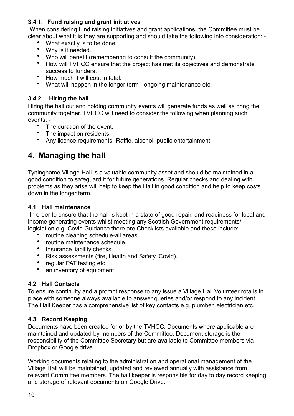#### <span id="page-10-0"></span>**3.4.1. Fund raising and grant initiatives**

 When considering fund raising initiatives and grant applications, the Committee must be clear about what it is they are supporting and should take the following into consideration: -

- What exactly is to be done.
- Why is it needed.
- Who will benefit (remembering to consult the community).
- How will TVHCC ensure that the project has met its objectives and demonstrate success to funders.
- How much it will cost in total.
- <span id="page-10-1"></span>• What will happen in the longer term - ongoing maintenance etc.

#### **3.4.2. Hiring the hall**

Hiring the hall out and holding community events will generate funds as well as bring the community together. TVHCC will need to consider the following when planning such events: -

- The duration of the event.
- The impact on residents.
- Any licence requirements -Raffle, alcohol, public entertainment.

# <span id="page-10-2"></span>**4. Managing the hall**

Tyninghame Village Hall is a valuable community asset and should be maintained in a good condition to safeguard it for future generations. Regular checks and dealing with problems as they arise will help to keep the Hall in good condition and help to keep costs down in the longer term.

#### <span id="page-10-3"></span>**4.1. Hall maintenance**

 In order to ensure that the hall is kept in a state of good repair, and readiness for local and income generating events whilst meeting any Scottish Government requirements/ legislation e.g. Covid Guidance there are Checklists available and these include: -

- routine cleaning schedule-all areas.<br>• routine maintenance schedule
- routine maintenance schedule.<br>• Insurance liability checks
- Insurance liability checks.
- Risk assessments (fire, Health and Safety, Covid).
- regular PAT testing etc.
- an inventory of equipment.

#### <span id="page-10-4"></span>**4.2. Hall Contacts**

To ensure continuity and a prompt response to any issue a Village Hall Volunteer rota is in place with someone always available to answer queries and/or respond to any incident. The Hall Keeper has a comprehensive list of key contacts e.g. plumber, electrician etc.

#### <span id="page-10-5"></span>**4.3. Record Keeping**

Documents have been created for or by the TVHCC. Documents where applicable are maintained and updated by members of the Committee. Document storage is the responsibility of the Committee Secretary but are available to Committee members via Dropbox or Google drive.

Working documents relating to the administration and operational management of the Village Hall will be maintained, updated and reviewed annually with assistance from relevant Committee members. The hall keeper is responsible for day to day record keeping and storage of relevant documents on Google Drive.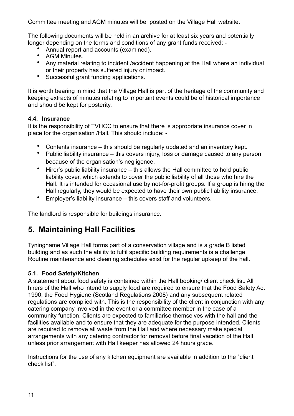Committee meeting and AGM minutes will be posted on the Village Hall website.

The following documents will be held in an archive for at least six years and potentially longer depending on the terms and conditions of any grant funds received: -

- Annual report and accounts (examined).
- AGM Minutes.
- Any material relating to incident /accident happening at the Hall where an individual or their property has suffered injury or impact.
- Successful grant funding applications.

It is worth bearing in mind that the Village Hall is part of the heritage of the community and keeping extracts of minutes relating to important events could be of historical importance and should be kept for posterity.

#### <span id="page-11-0"></span>**4.4. Insurance**

It is the responsibility of TVHCC to ensure that there is appropriate insurance cover in place for the organisation /Hall. This should include: -

- Contents insurance this should be regularly updated and an inventory kept.
- Public liability insurance this covers injury, loss or damage caused to any person because of the organisation's negligence.
- $\bullet$  Hirer's public liability insurance this allows the Hall committee to hold public liability cover, which extends to cover the public liability of all those who hire the Hall. It is intended for occasional use by not-for-profit groups. If a group is hiring the Hall regularly, they would be expected to have their own public liability insurance.
- Employer's liability insurance this covers staff and volunteers.

The landlord is responsible for buildings insurance.

# <span id="page-11-1"></span>**5. Maintaining Hall Facilities**

Tyninghame Village Hall forms part of a conservation village and is a grade B listed building and as such the ability to fulfil specific building requirements is a challenge. Routine maintenance and cleaning schedules exist for the regular upkeep of the hall.

#### <span id="page-11-2"></span>**5.1. Food Safety/Kitchen**

A statement about food safety is contained within the Hall booking/ client check list. All hirers of the Hall who intend to supply food are required to ensure that the Food Safety Act 1990, the Food Hygiene (Scotland Regulations 2008) and any subsequent related regulations are complied with. This is the responsibility of the client in conjunction with any catering company involved in the event or a committee member in the case of a community function. Clients are expected to familiarise themselves with the hall and the facilities available and to ensure that they are adequate for the purpose intended, Clients are required to remove all waste from the Hall and where necessary make special arrangements with any catering contractor for removal before final vacation of the Hall unless prior arrangement with Hall keeper has allowed 24 hours grace.

Instructions for the use of any kitchen equipment are available in addition to the "client check list".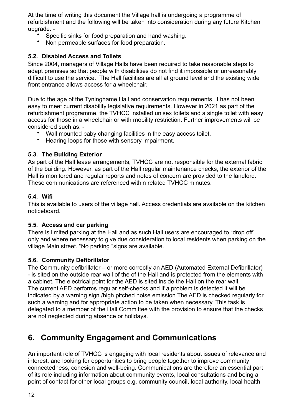At the time of writing this document the Village hall is undergoing a programme of refurbishment and the following will be taken into consideration during any future Kitchen upgrade: -

- Specific sinks for food preparation and hand washing.
- Non permeable surfaces for food preparation.

#### <span id="page-12-0"></span>**5.2. Disabled Access and Toilets**

Since 2004, managers of Village Halls have been required to take reasonable steps to adapt premises so that people with disabilities do not find it impossible or unreasonably difficult to use the service. The Hall facilities are all at ground level and the existing wide front entrance allows access for a wheelchair.

Due to the age of the Tyninghame Hall and conservation requirements, it has not been easy to meet current disability legislative requirements. However in 2021 as part of the refurbishment programme, the TVHCC installed unisex toilets and a single toilet with easy access for those in a wheelchair or with mobility restriction. Further improvements will be considered such as: -

- Wall mounted baby changing facilities in the easy access toilet.
- Hearing loops for those with sensory impairment.

#### <span id="page-12-1"></span>**5.3. The Building Exterior**

As part of the Hall lease arrangements, TVHCC are not responsible for the external fabric of the building. However, as part of the Hall regular maintenance checks, the exterior of the Hall is monitored and regular reports and notes of concern are provided to the landlord. These communications are referenced within related TVHCC minutes.

#### <span id="page-12-2"></span>**5.4. Wifi**

This is available to users of the village hall. Access credentials are available on the kitchen noticeboard.

#### <span id="page-12-3"></span>**5.5. Access and car parking**

There is limited parking at the Hall and as such Hall users are encouraged to "drop off" only and where necessary to give due consideration to local residents when parking on the village Main street. "No parking "signs are available.

#### <span id="page-12-4"></span>**5.6. Community Defibrillator**

The Community defibrillator – or more correctly an AED (Automated External Defibrillator) - is sited on the outside rear wall of the of the Hall and is protected from the elements with a cabinet. The electrical point for the AED is sited inside the Hall on the rear wall. The current AED performs regular self-checks and if a problem is detected it will be indicated by a warning sign /high pitched noise emission The AED is checked regularly for such a warning and for appropriate action to be taken when necessary. This task is delegated to a member of the Hall Committee with the provision to ensure that the checks are not neglected during absence or holidays.

# <span id="page-12-5"></span>**6. Community Engagement and Communications**

An important role of TVHCC is engaging with local residents about issues of relevance and interest, and looking for opportunities to bring people together to improve community connectedness, cohesion and well-being. Communications are therefore an essential part of its role including information about community events, local consultations and being a point of contact for other local groups e.g. community council, local authority, local health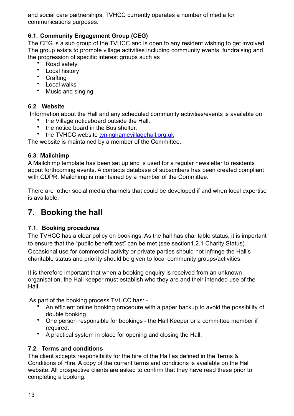and social care partnerships. TVHCC currently operates a number of media for communications purposes.

#### <span id="page-13-0"></span>**6.1. Community Engagement Group (CEG)**

The CEG is a sub group of the TVHCC and is open to any resident wishing to get involved. The group exists to promote village activities including community events, fundraising and the progression of specific interest groups such as

- Road safety
- Local history
- Crafting
- Local walks
- Music and singing

#### <span id="page-13-1"></span>**6.2. Website**

Information about the Hall and any scheduled community activities/events is available on

- the Village noticeboard outside the Hall.
- the notice board in the Bus shelter.
- the TVHCC website [tyninghamevillagehall.org.uk](http://tyninghamevillagehall.org.uk)

The website is maintained by a member of the Committee.

#### <span id="page-13-2"></span>**6.3. Mailchimp**

A Mailchimp template has been set up and is used for a regular newsletter to residents about forthcoming events. A contacts database of subscribers has been created compliant with GDPR. Mailchimp is maintained by a member of the Committee.

There are other social media channels that could be developed if and when local expertise is available.

## <span id="page-13-3"></span>**7. Booking the hall**

#### <span id="page-13-4"></span>**7.1. Booking procedures**

The TVHCC has a clear policy on bookings. As the hall has charitable status, it is important to ensure that the "public benefit test" can be met (see section1.2.1 Charity Status). Occasional use for commercial activity or private parties should not infringe the Hall's charitable status and priority should be given to local community groups/activities.

It is therefore important that when a booking enquiry is received from an unknown organisation, the Hall keeper must establish who they are and their intended use of the **Hall** 

As part of the booking process TVHCC has: -

- An efficient online booking procedure with a paper backup to avoid the possibility of double booking.
- One person responsible for bookings the Hall Keeper or a committee member if required.
- A practical system in place for opening and closing the Hall.

#### <span id="page-13-5"></span>**7.2. Terms and conditions**

The client accepts responsibility for the hire of the Hall as defined in the Terms & Conditions of Hire. A copy of the current terms and conditions is available on the Hall website. All prospective clients are asked to confirm that they have read these prior to completing a booking.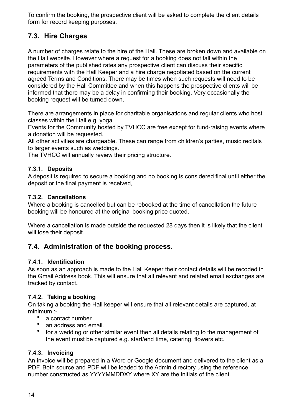To confirm the booking, the prospective client will be asked to complete the client details form for record keeping purposes.

### <span id="page-14-0"></span>**7.3. Hire Charges**

A number of charges relate to the hire of the Hall. These are broken down and available on the Hall website. However where a request for a booking does not fall within the parameters of the published rates any prospective client can discuss their specific requirements with the Hall Keeper and a hire charge negotiated based on the current agreed Terms and Conditions. There may be times when such requests will need to be considered by the Hall Committee and when this happens the prospective clients will be informed that there may be a delay in confirming their booking. Very occasionally the booking request will be turned down.

There are arrangements in place for charitable organisations and regular clients who host classes within the Hall e.g. yoga

Events for the Community hosted by TVHCC are free except for fund-raising events where a donation will be requested.

All other activities are chargeable. These can range from children's parties, music recitals to larger events such as weddings.

The TVHCC will annually review their pricing structure.

#### <span id="page-14-1"></span>**7.3.1. Deposits**

A deposit is required to secure a booking and no booking is considered final until either the deposit or the final payment is received,

#### <span id="page-14-2"></span>**7.3.2. Cancellations**

Where a booking is cancelled but can be rebooked at the time of cancellation the future booking will be honoured at the original booking price quoted.

Where a cancellation is made outside the requested 28 days then it is likely that the client will lose their deposit.

### <span id="page-14-3"></span>**7.4. Administration of the booking process.**

#### <span id="page-14-4"></span>**7.4.1. Identification**

As soon as an approach is made to the Hall Keeper their contact details will be recoded in the Gmail Address book. This will ensure that all relevant and related email exchanges are tracked by contact**.** 

#### <span id="page-14-5"></span>**7.4.2. Taking a booking**

On taking a booking the Hall keeper will ensure that all relevant details are captured, at minimum :-

- a contact number.
- an address and email.
- for a wedding or other similar event then all details relating to the management of the event must be captured e.g. start/end time, catering, flowers etc.

#### <span id="page-14-6"></span>**7.4.3. Invoicing**

An invoice will be prepared in a Word or Google document and delivered to the client as a PDF. Both source and PDF will be loaded to the Admin directory using the reference number constructed as YYYYMMDDXY where XY are the initials of the client.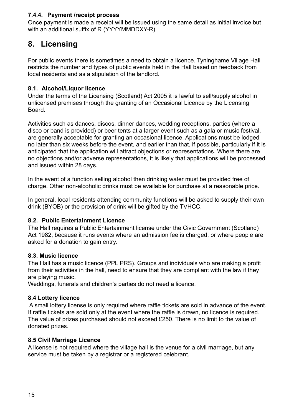#### <span id="page-15-0"></span>**7.4.4. Payment /receipt process**

Once payment is made a receipt will be issued using the same detail as initial invoice but with an additional suffix of R (YYYYMMDDXY-R)

# <span id="page-15-1"></span>**8. Licensing**

For public events there is sometimes a need to obtain a licence. Tyninghame Village Hall restricts the number and types of public events held in the Hall based on feedback from local residents and as a stipulation of the landlord.

#### <span id="page-15-2"></span>**8.1. Alcohol/Liquor licence**

Under the terms of the Licensing (Scotland) Act 2005 it is lawful to sell/supply alcohol in unlicensed premises through the granting of an Occasional Licence by the Licensing Board.

Activities such as dances, discos, dinner dances, wedding receptions, parties (where a disco or band is provided) or beer tents at a larger event such as a gala or music festival, are generally acceptable for granting an occasional licence. Applications must be lodged no later than six weeks before the event, and earlier than that, if possible, particularly if it is anticipated that the application will attract objections or representations. Where there are no objections and/or adverse representations, it is likely that applications will be processed and issued within 28 days.

In the event of a function selling alcohol then drinking water must be provided free of charge. Other non-alcoholic drinks must be available for purchase at a reasonable price.

In general, local residents attending community functions will be asked to supply their own drink (BYOB) or the provision of drink will be gifted by the TVHCC.

#### <span id="page-15-3"></span>**8.2. Public Entertainment Licence**

The Hall requires a Public Entertainment license under the Civic Government (Scotland) Act 1982, because it runs events where an admission fee is charged, or where people are asked for a donation to gain entry.

#### <span id="page-15-4"></span>**8.3. Music licence**

The Hall has a music licence (PPL PRS). Groups and individuals who are making a profit from their activities in the hall, need to ensure that they are compliant with the law if they are playing music.

Weddings, funerals and children's parties do not need a licence.

#### <span id="page-15-5"></span>**8.4 Lottery licence**

 A small lottery license is only required where raffle tickets are sold in advance of the event. If raffle tickets are sold only at the event where the raffle is drawn, no licence is required. The value of prizes purchased should not exceed £250. There is no limit to the value of donated prizes.

#### <span id="page-15-6"></span>**8.5 Civil Marriage Licence**

A license is not required where the village hall is the venue for a civil marriage, but any service must be taken by a registrar or a registered celebrant.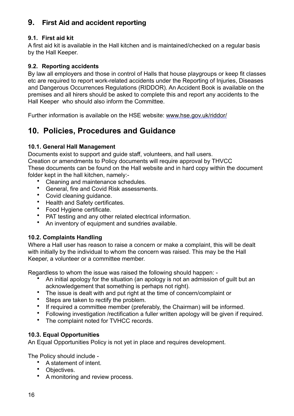### <span id="page-16-0"></span>**9. First Aid and accident reporting**

#### <span id="page-16-1"></span>**9.1. First aid kit**

A first aid kit is available in the Hall kitchen and is maintained/checked on a regular basis by the Hall Keeper.

#### <span id="page-16-2"></span>**9.2. Reporting accidents**

By law all employers and those in control of Halls that house playgroups or keep fit classes etc are required to report work-related accidents under the Reporting of Injuries, Diseases and Dangerous Occurrences Regulations (RIDDOR). An Accident Book is available on the premises and all hirers should be asked to complete this and report any accidents to the Hall Keeper who should also inform the Committee.

Further information is available on the HSE website: [www.hse.gov.uk/riddor/](http://www.hse.gov.uk/riddor/) 

# <span id="page-16-3"></span>**10. Policies, Procedures and Guidance**

#### <span id="page-16-4"></span>**10.1. General Hall Management**

Documents exist to support and guide staff, volunteers, and hall users. Creation or amendments to Policy documents will require approval by THVCC These documents can be found on the Hall website and in hard copy within the document folder kept in the hall kitchen, namely:-

- Cleaning and maintenance schedules.
- General, fire and Covid Risk assessments.
- Covid cleaning guidance.
- Health and Safety certificates.
- Food Hygiene certificate.
- PAT testing and any other related electrical information.<br>• An inventory of equipment and sundries available
- An inventory of equipment and sundries available.

#### <span id="page-16-5"></span>**10.2. Complaints Handling**

Where a Hall user has reason to raise a concern or make a complaint, this will be dealt with initially by the individual to whom the concern was raised. This may be the Hall Keeper, a volunteer or a committee member.

Regardless to whom the issue was raised the following should happen: -<br>An initial anology for the situation (an apology is not an admission

- An initial apology for the situation (an apology is not an admission of guilt but an acknowledgement that something is perhaps not right).
- The issue is dealt with and put right at the time of concern/complaint or
- Steps are taken to rectify the problem.
- If required a committee member (preferably, the Chairman) will be informed.<br>• Following investigation /rectification a fuller written apology will be given if required.
- Following investigation /rectification a fuller written apology will be given if required.
- The complaint noted for TVHCC records.

#### <span id="page-16-6"></span>**10.3. Equal Opportunities**

An Equal Opportunities Policy is not yet in place and requires development.

The Policy should include -

- A statement of intent.
- Objectives.
- A monitoring and review process.